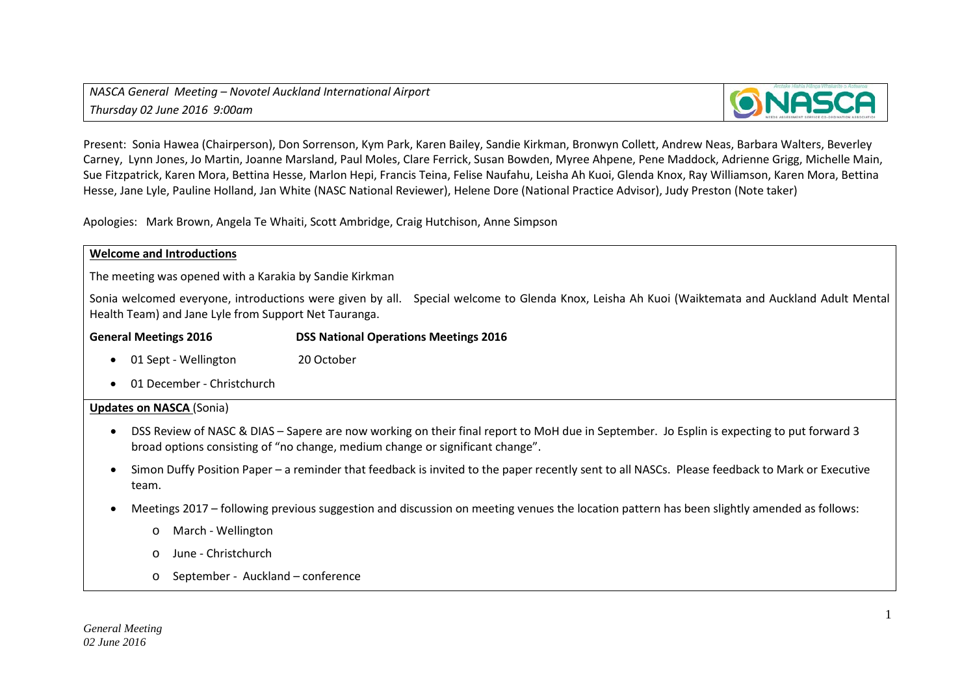

Present: Sonia Hawea (Chairperson), Don Sorrenson, Kym Park, Karen Bailey, Sandie Kirkman, Bronwyn Collett, Andrew Neas, Barbara Walters, Beverley Carney, Lynn Jones, Jo Martin, Joanne Marsland, Paul Moles, Clare Ferrick, Susan Bowden, Myree Ahpene, Pene Maddock, Adrienne Grigg, Michelle Main, Sue Fitzpatrick, Karen Mora, Bettina Hesse, Marlon Hepi, Francis Teina, Felise Naufahu, Leisha Ah Kuoi, Glenda Knox, Ray Williamson, Karen Mora, Bettina Hesse, Jane Lyle, Pauline Holland, Jan White (NASC National Reviewer), Helene Dore (National Practice Advisor), Judy Preston (Note taker)

Apologies: Mark Brown, Angela Te Whaiti, Scott Ambridge, Craig Hutchison, Anne Simpson

### **Welcome and Introductions**

The meeting was opened with a Karakia by Sandie Kirkman

Sonia welcomed everyone, introductions were given by all. Special welcome to Glenda Knox, Leisha Ah Kuoi (Waiktemata and Auckland Adult Mental Health Team) and Jane Lyle from Support Net Tauranga.

### **General Meetings 2016 DSS National Operations Meetings 2016**

- 01 Sept Wellington 20 October
- 01 December Christchurch

### **Updates on NASCA** (Sonia)

- DSS Review of NASC & DIAS Sapere are now working on their final report to MoH due in September. Jo Esplin is expecting to put forward 3 broad options consisting of "no change, medium change or significant change".
- Simon Duffy Position Paper a reminder that feedback is invited to the paper recently sent to all NASCs. Please feedback to Mark or Executive team.
- Meetings 2017 following previous suggestion and discussion on meeting venues the location pattern has been slightly amended as follows:
	- o March Wellington
	- o June Christchurch
	- o September Auckland conference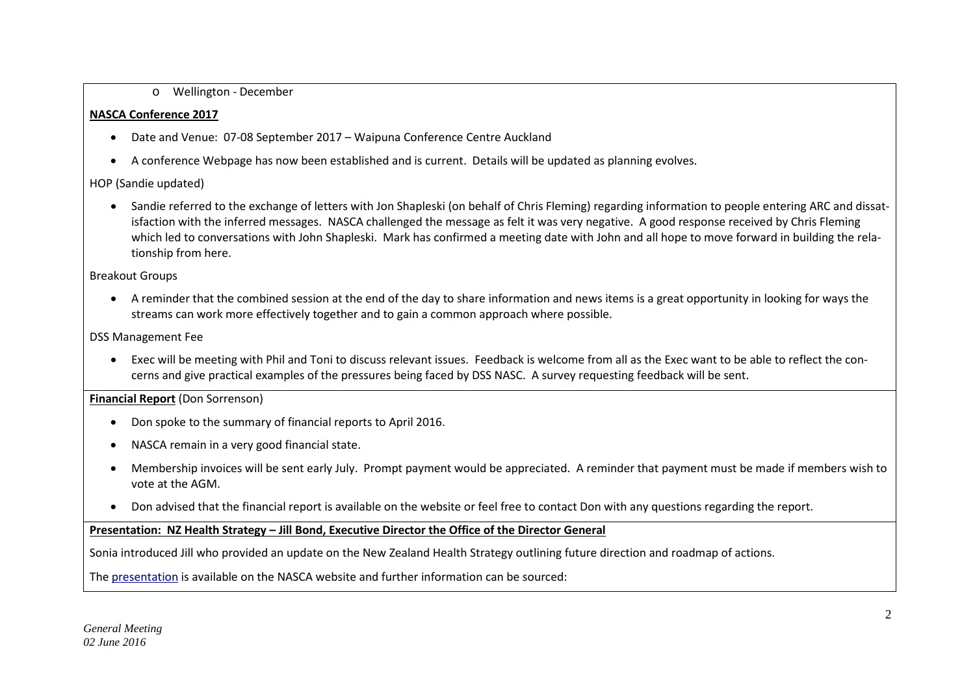## o Wellington - December

# **NASCA Conference 2017**

- Date and Venue: 07-08 September 2017 Waipuna Conference Centre Auckland
- A conference Webpage has now been established and is current. Details will be updated as planning evolves.

# HOP (Sandie updated)

• Sandie referred to the exchange of letters with Jon Shapleski (on behalf of Chris Fleming) regarding information to people entering ARC and dissatisfaction with the inferred messages. NASCA challenged the message as felt it was very negative. A good response received by Chris Fleming which led to conversations with John Shapleski. Mark has confirmed a meeting date with John and all hope to move forward in building the relationship from here.

# Breakout Groups

• A reminder that the combined session at the end of the day to share information and news items is a great opportunity in looking for ways the streams can work more effectively together and to gain a common approach where possible.

# DSS Management Fee

• Exec will be meeting with Phil and Toni to discuss relevant issues. Feedback is welcome from all as the Exec want to be able to reflect the concerns and give practical examples of the pressures being faced by DSS NASC. A survey requesting feedback will be sent.

# **Financial Report** (Don Sorrenson)

- Don spoke to the summary of financial reports to April 2016.
- NASCA remain in a very good financial state.
- Membership invoices will be sent early July. Prompt payment would be appreciated. A reminder that payment must be made if members wish to vote at the AGM.
- Don advised that the financial report is available on the website or feel free to contact Don with any questions regarding the report.

# **Presentation: NZ Health Strategy – Jill Bond, Executive Director the Office of the Director General**

Sonia introduced Jill who provided an update on the New Zealand Health Strategy outlining future direction and roadmap of actions.

Th[e presentation](http://www.nznasca.co.nz/download/presentation-nz-health-strategy-jill-bond/?wpdmdl=3716) is available on the NASCA website and further information can be sourced: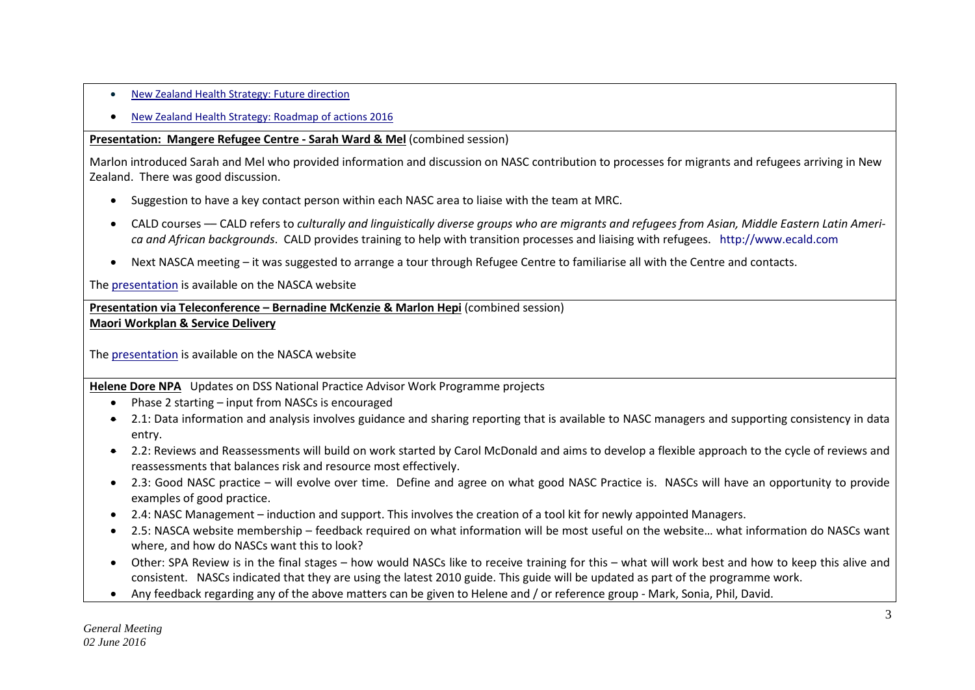- [New Zealand Health Strategy: Future direction](http://www.health.govt.nz/new-zealand-health-system/new-zealand-health-strategy-future-direction)
- [New Zealand Health Strategy: Roadmap of actions 2016](http://www.health.govt.nz/new-zealand-health-system/new-zealand-health-strategy-roadmap-actions-2016)

# **Presentation: Mangere Refugee Centre - Sarah Ward & Mel** (combined session)

Marlon introduced Sarah and Mel who provided information and discussion on NASC contribution to processes for migrants and refugees arriving in New Zealand. There was good discussion.

- Suggestion to have a key contact person within each NASC area to liaise with the team at MRC.
- CALD courses –– CALD refers to *culturally and linguistically diverse groups who are migrants and refugees from Asian, Middle Eastern Latin America and African backgrounds*. CALD provides training to help with transition processes and liaising with refugees. [http://www.ecald.com](http://www.ecald.com/)
- Next NASCA meeting it was suggested to arrange a tour through Refugee Centre to familiarise all with the Centre and contacts.

Th[e presentation](http://www.nznasca.co.nz/download/presentation-refugee-migrant-centre/?wpdmdl=3719) is available on the NASCA website

**Presentation via Teleconference – Bernadine McKenzie & Marlon Hepi** (combined session) **Maori Workplan & Service Delivery**

Th[e presentation](http://www.nznasca.co.nz/download/presentation-service-delivery-to-maori-bernadine-mckenzie/?wpdmdl=3722) is available on the NASCA website

**Helene Dore NPA** Updates on DSS National Practice Advisor Work Programme projects

- Phase 2 starting input from NASCs is encouraged
- 2.1: Data information and analysis involves guidance and sharing reporting that is available to NASC managers and supporting consistency in data entry.
- 2.2: Reviews and Reassessments will build on work started by Carol McDonald and aims to develop a flexible approach to the cycle of reviews and reassessments that balances risk and resource most effectively.
- 2.3: Good NASC practice will evolve over time. Define and agree on what good NASC Practice is. NASCs will have an opportunity to provide examples of good practice.
- 2.4: NASC Management induction and support. This involves the creation of a tool kit for newly appointed Managers.
- 2.5: NASCA website membership feedback required on what information will be most useful on the website… what information do NASCs want where, and how do NASCs want this to look?
- Other: SPA Review is in the final stages how would NASCs like to receive training for this what will work best and how to keep this alive and consistent. NASCs indicated that they are using the latest 2010 guide. This guide will be updated as part of the programme work.
- Any feedback regarding any of the above matters can be given to Helene and / or reference group Mark, Sonia, Phil, David.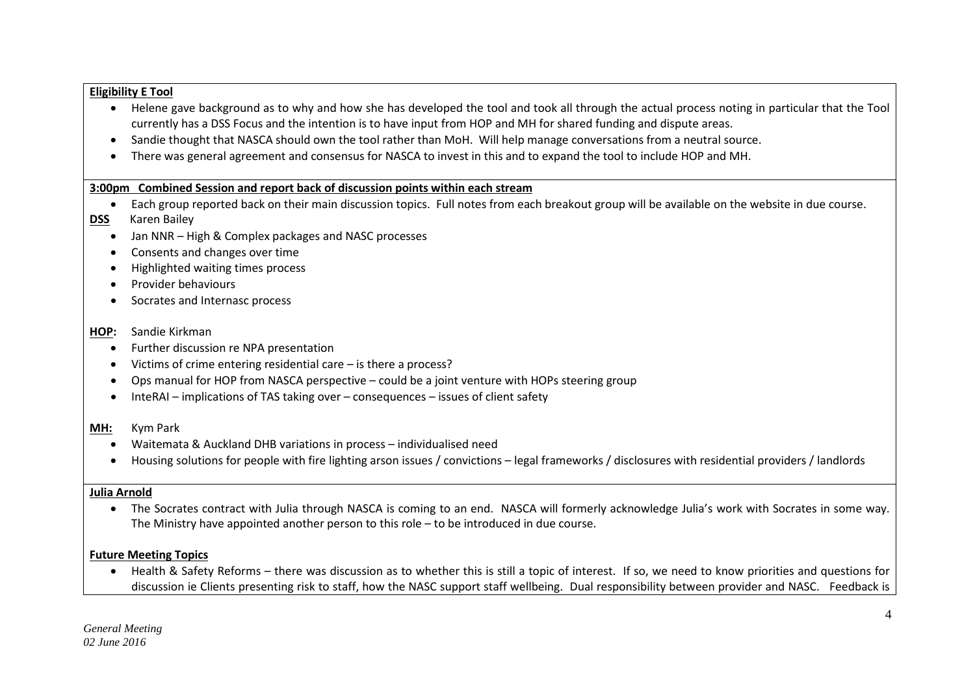### **Eligibility E Tool**

- Helene gave background as to why and how she has developed the tool and took all through the actual process noting in particular that the Tool currently has a DSS Focus and the intention is to have input from HOP and MH for shared funding and dispute areas.
- Sandie thought that NASCA should own the tool rather than MoH. Will help manage conversations from a neutral source.
- There was general agreement and consensus for NASCA to invest in this and to expand the tool to include HOP and MH.

### **3:00pm Combined Session and report back of discussion points within each stream**

- Each group reported back on their main discussion topics. Full notes from each breakout group will be available on the website in due course.
- **DSS** Karen Bailey
	- Jan NNR High & Complex packages and NASC processes
	- Consents and changes over time
	- Highlighted waiting times process
	- Provider behaviours
	- Socrates and Internasc process

### **HOP:** Sandie Kirkman

- Further discussion re NPA presentation
- Victims of crime entering residential care is there a process?
- Ops manual for HOP from NASCA perspective could be a joint venture with HOPs steering group
- InteRAI implications of TAS taking over consequences issues of client safety

## **MH:** Kym Park

- Waitemata & Auckland DHB variations in process individualised need
- Housing solutions for people with fire lighting arson issues / convictions legal frameworks / disclosures with residential providers / landlords

## **Julia Arnold**

• The Socrates contract with Julia through NASCA is coming to an end. NASCA will formerly acknowledge Julia's work with Socrates in some way. The Ministry have appointed another person to this role – to be introduced in due course.

# **Future Meeting Topics**

• Health & Safety Reforms – there was discussion as to whether this is still a topic of interest. If so, we need to know priorities and questions for discussion ie Clients presenting risk to staff, how the NASC support staff wellbeing. Dual responsibility between provider and NASC. Feedback is